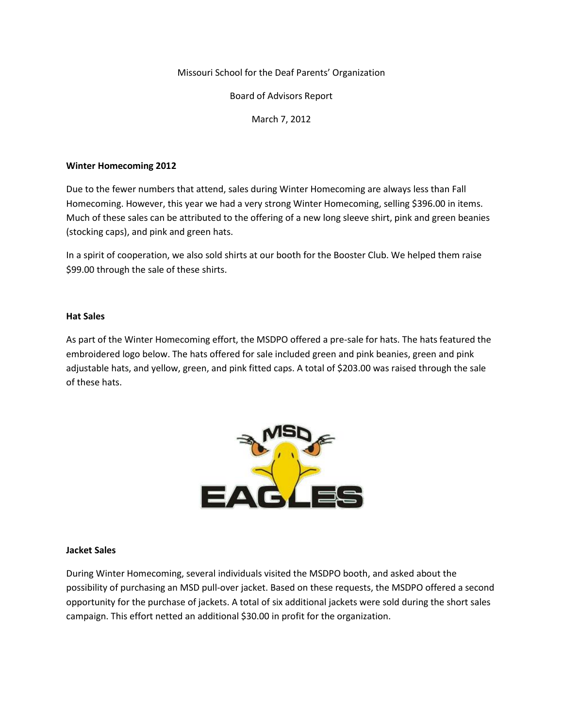Missouri School for the Deaf Parents' Organization

Board of Advisors Report

March 7, 2012

### **Winter Homecoming 2012**

Due to the fewer numbers that attend, sales during Winter Homecoming are always less than Fall Homecoming. However, this year we had a very strong Winter Homecoming, selling \$396.00 in items. Much of these sales can be attributed to the offering of a new long sleeve shirt, pink and green beanies (stocking caps), and pink and green hats.

In a spirit of cooperation, we also sold shirts at our booth for the Booster Club. We helped them raise \$99.00 through the sale of these shirts.

#### **Hat Sales**

As part of the Winter Homecoming effort, the MSDPO offered a pre-sale for hats. The hats featured the embroidered logo below. The hats offered for sale included green and pink beanies, green and pink adjustable hats, and yellow, green, and pink fitted caps. A total of \$203.00 was raised through the sale of these hats.



#### **Jacket Sales**

During Winter Homecoming, several individuals visited the MSDPO booth, and asked about the possibility of purchasing an MSD pull-over jacket. Based on these requests, the MSDPO offered a second opportunity for the purchase of jackets. A total of six additional jackets were sold during the short sales campaign. This effort netted an additional \$30.00 in profit for the organization.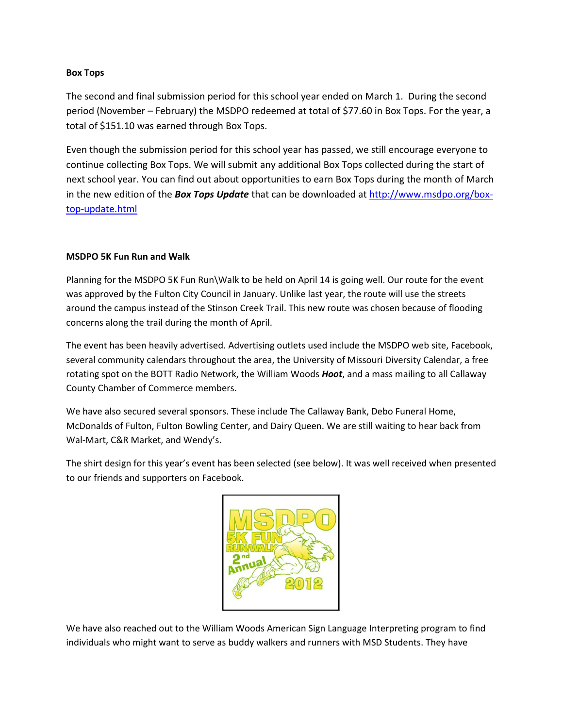## **Box Tops**

The second and final submission period for this school year ended on March 1. During the second period (November – February) the MSDPO redeemed at total of \$77.60 in Box Tops. For the year, a total of \$151.10 was earned through Box Tops.

Even though the submission period for this school year has passed, we still encourage everyone to continue collecting Box Tops. We will submit any additional Box Tops collected during the start of next school year. You can find out about opportunities to earn Box Tops during the month of March in the new edition of the *Box Tops Update* that can be downloaded a[t http://www.msdpo.org/box](http://www.msdpo.org/box-top-update.html)[top-update.html](http://www.msdpo.org/box-top-update.html)

# **MSDPO 5K Fun Run and Walk**

Planning for the MSDPO 5K Fun Run\Walk to be held on April 14 is going well. Our route for the event was approved by the Fulton City Council in January. Unlike last year, the route will use the streets around the campus instead of the Stinson Creek Trail. This new route was chosen because of flooding concerns along the trail during the month of April.

The event has been heavily advertised. Advertising outlets used include the MSDPO web site, Facebook, several community calendars throughout the area, the University of Missouri Diversity Calendar, a free rotating spot on the BOTT Radio Network, the William Woods *Hoot*, and a mass mailing to all Callaway County Chamber of Commerce members.

We have also secured several sponsors. These include The Callaway Bank, Debo Funeral Home, McDonalds of Fulton, Fulton Bowling Center, and Dairy Queen. We are still waiting to hear back from Wal-Mart, C&R Market, and Wendy's.

The shirt design for this year's event has been selected (see below). It was well received when presented to our friends and supporters on Facebook.



We have also reached out to the William Woods American Sign Language Interpreting program to find individuals who might want to serve as buddy walkers and runners with MSD Students. They have